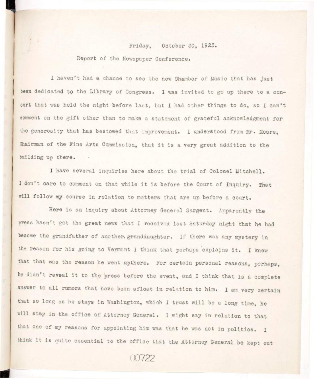## Friday. October 30, 1925. Report of the Newspaper Conference.

I haven't had a chance to see the new Chamber of Music that has just been dedicated to the Library of Congress. I was invited to go up there to a concert that was held the night before last, but I had other things to do, so I can't comment on the gift other than to make a statement of grateful acknowledgment for the generosity that has bestowed that improvement. I understood from Mr. Moore, Chairman of the Fine Arts Commission, that it is a very great addition to the building up there.

I have several inquiries here about the trial of Colonel Mitchell. I don't care to comment on that while it is before the Court of Inquiry. That will follow my course in relation to matters that are up before a court.

Here is an inquiry about Attorney General Sargent. Apparently the press hasn't got the great news that I received last Saturday night that he had become the grandfather of another. granddaughter. If there was any mystery in the reason for his going to Vermont I think that perhaps explains it. I knew that that was the reason he went upthere. For certain personal reasons, perhaps. he didn't reveal it to the press before the event, and I think that is a complete answer to all rumors that have been afloat in relation to him. I am very certain that so long as he stays in Washington, which I trust will be a long time, he will stay in the office of Attorney General. I might say in relation to that that one of my reasons for appointing him was that he was not in politics. I think it is quite essential to the office that the Attorney General be kept out

00722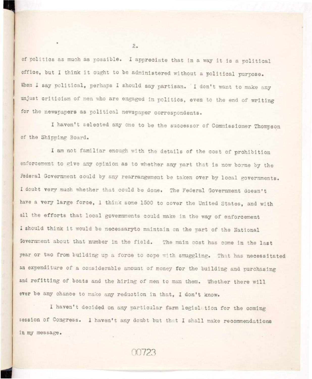of politics as much as possible. I appreciate that in a way it is a political office, but I think it ought to be administered without a political purpose. When I say political, perhaps I should say partisan. I don't want to make any unjust criticism of men who are engaged in politics, even to the end of writing for the newspapers as political newspaper correspondents.

I haven't selected any one to be the successor of Commissioner Thompson of the Shipping Board.

I am not familiar enough with the details of the cost of prohibition enforcement to give any opinion as to whether any part that is now borne by the Federal Government could by any rearrangement be taken over by local governments. I doubt very much whether that could be done. The Federal Government doesn't have a very large force, I think some 1500 to cover the United States, and with all the efforts that local governments could make in the way of enforcement I should think it would be necessaryto maintain on the part of the National Government about that number in the field. The main cost has come in the last year or two from building up a force to cope with smuggling. That has necessitated an expenditure of a considerable amount of money for the building and purchasing and refitting of boats and the hiring of men to man them. Whether there will ever be any chance to make any reduction in that, I don't know.

I haven't decided on any particular farm legislation for the coming session of Congress. I haven't any doubt but that I shall make recommendations in my message.

00723

 $2.$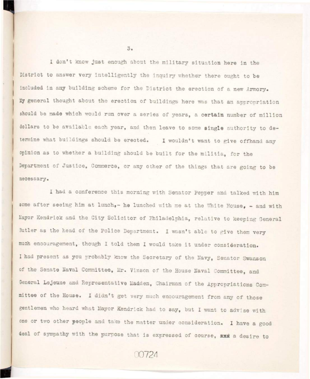I don't know just enough about the military situation here in the District to answer very intelligently the inquiry whether there ought to be included in any building scheme for the District the erection of a new Armory. My general thought about the erection of buildings here was that an appropriation should be made which would run over a series of years, a certain number of million dollars to be available each year, and then leave to some single authority to determine what buildings should be erected. I wouldn't want to give offhand any opinion as to whether a building should be built for the militia, for the Department of Justice, Commerce, or any other of the things that are going to be necessary.

I had a conference this morning with Senator Pepper and talked with him some after seeing him at lunch,- he lunched with me at the White House, - and with Mayor Kendrick and the City Solicitor of Philadelphia, relative to keeping General Butler as the head of the Police Department. I wasn't able to give them very much encouragement, though I told them I would take it under consideration. I had present as you probably know the Secretary of the Navy, Senator Swanson of the Senate Naval Committee, Mr. Vinson of the House Naval Committee, and General Lejeune and Representative Madden, Chairman of the Appropriations Committee of the House. I didn't get very much encouragement from any of those gentlemen who heard what Mayor Kendrick had to say, but I want to advise with one or two other people and take the matter under consideration. I have a good deal of sympathy with the purpose that is expressed of course, and a desire to

00724

 $3.5$